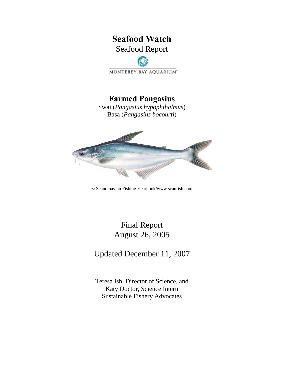# **Seafood Watch**  Seafood Report

MONTEREY BAY AQUARIUM\*

# **Farmed Pangasius**

Swai (*Pangasius hypophthalmus*) Basa (*Pangasius bocourti*)



© Scandinavian Fishing Yearbook/www.scanfish.com

# Final Report August 26, 2005

Updated December 11, 2007

Teresa Ish, Director of Science, and Katy Doctor, Science Intern Sustainable Fishery Advocates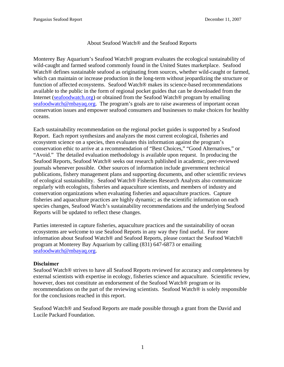#### About Seafood Watch® and the Seafood Reports

Monterey Bay Aquarium's Seafood Watch® program evaluates the ecological sustainability of wild-caught and farmed seafood commonly found in the United States marketplace. Seafood Watch<sup>®</sup> defines sustainable seafood as originating from sources, whether wild-caught or farmed, which can maintain or increase production in the long-term without jeopardizing the structure or function of affected ecosystems. Seafood Watch® makes its science-based recommendations available to the public in the form of regional pocket guides that can be downloaded from the Internet (seafoodwatch.org) or obtained from the Seafood Watch® program by emailing seafoodwatch@mbayaq.org. The program's goals are to raise awareness of important ocean conservation issues and empower seafood consumers and businesses to make choices for healthy oceans.

Each sustainability recommendation on the regional pocket guides is supported by a Seafood Report. Each report synthesizes and analyzes the most current ecological, fisheries and ecosystem science on a species, then evaluates this information against the program's conservation ethic to arrive at a recommendation of "Best Choices," "Good Alternatives," or "Avoid." The detailed evaluation methodology is available upon request. In producing the Seafood Reports, Seafood Watch® seeks out research published in academic, peer-reviewed journals whenever possible. Other sources of information include government technical publications, fishery management plans and supporting documents, and other scientific reviews of ecological sustainability. Seafood Watch® Fisheries Research Analysts also communicate regularly with ecologists, fisheries and aquaculture scientists, and members of industry and conservation organizations when evaluating fisheries and aquaculture practices. Capture fisheries and aquaculture practices are highly dynamic; as the scientific information on each species changes, Seafood Watch's sustainability recommendations and the underlying Seafood Reports will be updated to reflect these changes.

Parties interested in capture fisheries, aquaculture practices and the sustainability of ocean ecosystems are welcome to use Seafood Reports in any way they find useful. For more information about Seafood Watch® and Seafood Reports, please contact the Seafood Watch® program at Monterey Bay Aquarium by calling (831) 647-6873 or emailing seafoodwatch@mbayaq.org.

#### **Disclaimer**

Seafood Watch® strives to have all Seafood Reports reviewed for accuracy and completeness by external scientists with expertise in ecology, fisheries science and aquaculture. Scientific review, however, does not constitute an endorsement of the Seafood Watch® program or its recommendations on the part of the reviewing scientists. Seafood Watch® is solely responsible for the conclusions reached in this report.

Seafood Watch® and Seafood Reports are made possible through a grant from the David and Lucile Packard Foundation.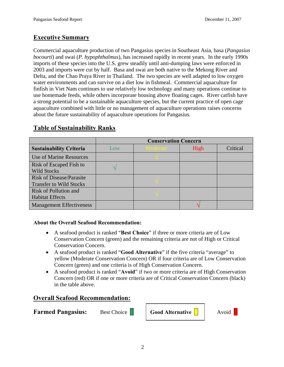# **Executive Summary**

Commercial aquaculture production of two Pangasius species in Southeast Asia, basa (*Pangasius bocourti*) and swai (*P. hypophthalmus*), has increased rapidly in recent years. In the early 1990s imports of these species into the U.S. grew steadily until anti-dumping laws were enforced in 2003 and imports were cut by half. Basa and swai are both native to the Mekong River and Delta, and the Chao Praya River in Thailand. The two species are well adapted to low oxygen water environments and can survive on a diet low in fishmeal. Commercial aquaculture for finfish in Viet Nam continues to use relatively low technology and many operations continue to use homemade feeds, while others incorporate housing above floating cages. River catfish have a strong potential to be a sustainable aquaculture species, but the current practice of open cage aquaculture combined with little or no management of aquaculture operations raises concerns about the future sustainability of aquaculture operations for Pangasius.

|                                                                   | <b>Conservation Concern</b> |                 |      |          |
|-------------------------------------------------------------------|-----------------------------|-----------------|------|----------|
| <b>Sustainability Criteria</b>                                    | Low                         | <b>Moderate</b> | High | Critical |
| <b>Use of Marine Resources</b>                                    |                             |                 |      |          |
| Risk of Escaped Fish to<br><b>Wild Stocks</b>                     |                             |                 |      |          |
| <b>Risk of Disease/Parasite</b><br><b>Transfer to Wild Stocks</b> |                             |                 |      |          |
| Risk of Pollution and<br><b>Habitat Effects</b>                   |                             |                 |      |          |
| <b>Management Effectiveness</b>                                   |                             |                 |      |          |

# **Table of Sustainability Ranks**

## **About the Overall Seafood Recommendation:**

- A seafood product is ranked "**Best Choice**" if three or more criteria are of Low Conservation Concern (green) and the remaining criteria are not of High or Critical Conservation Concern.
- A seafood product is ranked "**Good Alternative**" if the five criteria "average" to yellow (Moderate Conservation Concern) OR if four criteria are of Low Conservation Concern (green) and one criteria is of High Conservation Concern.
- A seafood product is ranked "**Avoid**" if two or more criteria are of High Conservation Concern (red) OR if one or more criteria are of Critical Conservation Concern (black) in the table above.

# **Overall Seafood Recommendation:**

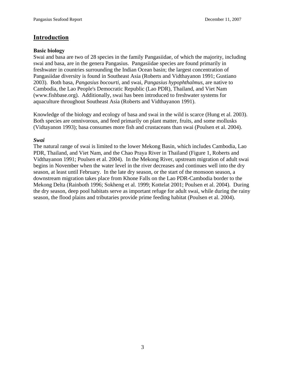## **Introduction**

#### **Basic biology**

Swai and basa are two of 28 species in the family Pangasiidae, of which the majority, including swai and basa, are in the genera Pangasius. Pangasiidae species are found primarily in freshwater in countries surrounding the Indian Ocean basin; the largest concentration of Pangasiidae diversity is found in Southeast Asia (Roberts and Vidthayanon 1991; Gustiano 2003). Both basa, *Pangasius bocourti*, and swai, *Pangasius hypophthalmus*, are native to Cambodia, the Lao People's Democratic Republic (Lao PDR), Thailand, and Viet Nam (www.fishbase.org). Additionally, swai has been introduced to freshwater systems for aquaculture throughout Southeast Asia (Roberts and Vidthayanon 1991).

Knowledge of the biology and ecology of basa and swai in the wild is scarce (Hung et al. 2003). Both species are omnivorous, and feed primarily on plant matter, fruits, and some mollusks (Vidtayanon 1993); basa consumes more fish and crustaceans than swai (Poulsen et al. 2004).

#### *Swai*

The natural range of swai is limited to the lower Mekong Basin, which includes Cambodia, Lao PDR, Thailand, and Viet Nam, and the Chao Praya River in Thailand (Figure 1, Roberts and Vidthayanon 1991; Poulsen et al. 2004). In the Mekong River, upstream migration of adult swai begins in November when the water level in the river decreases and continues well into the dry season, at least until February. In the late dry season, or the start of the monsoon season, a downstream migration takes place from Khone Falls on the Lao PDR-Cambodia border to the Mekong Delta (Rainboth 1996; Sokheng et al. 1999; Kottelat 2001; Poulsen et al. 2004). During the dry season, deep pool habitats serve as important refuge for adult swai, while during the rainy season, the flood plains and tributaries provide prime feeding habitat (Poulsen et al. 2004).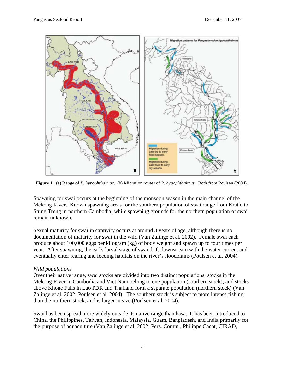

**Figure 1.** (a) Range of *P. hypophthalmus*. (b) Migration routes of *P. hypophthalmus*. Both from Poulsen (2004).

Spawning for swai occurs at the beginning of the monsoon season in the main channel of the Mekong River. Known spawning areas for the southern population of swai range from Kratie to Stung Treng in northern Cambodia, while spawning grounds for the northern population of swai remain unknown.

Sexual maturity for swai in captivity occurs at around 3 years of age, although there is no documentation of maturity for swai in the wild (Van Zalinge et al. 2002). Female swai each produce about 100,000 eggs per kilogram (kg) of body weight and spawn up to four times per year. After spawning, the early larval stage of swai drift downstream with the water current and eventually enter rearing and feeding habitats on the river's floodplains (Poulsen et al. 2004).

#### *Wild populations*

Over their native range, swai stocks are divided into two distinct populations: stocks in the Mekong River in Cambodia and Viet Nam belong to one population (southern stock); and stocks above Khone Falls in Lao PDR and Thailand form a separate population (northern stock) (Van Zalinge et al. 2002; Poulsen et al. 2004). The southern stock is subject to more intense fishing than the northern stock, and is larger in size (Poulsen et al. 2004).

Swai has been spread more widely outside its native range than basa. It has been introduced to China, the Philippines, Taiwan, Indonesia, Malaysia, Guam, Bangladesh, and India primarily for the purpose of aquaculture (Van Zalinge et al. 2002; Pers. Comm., Philippe Cacot, CIRAD,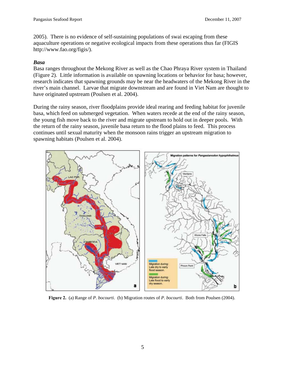2005). There is no evidence of self-sustaining populations of swai escaping from these aquaculture operations or negative ecological impacts from these operations thus far (FIGIS http://www.fao.org/figis/).

#### *Basa*

Basa ranges throughout the Mekong River as well as the Chao Phraya River system in Thailand (Figure 2). Little information is available on spawning locations or behavior for basa; however, research indicates that spawning grounds may be near the headwaters of the Mekong River in the river's main channel. Larvae that migrate downstream and are found in Viet Nam are thought to have originated upstream (Poulsen et al. 2004).

During the rainy season, river floodplains provide ideal rearing and feeding habitat for juvenile basa, which feed on submerged vegetation. When waters recede at the end of the rainy season, the young fish move back to the river and migrate upstream to hold out in deeper pools. With the return of the rainy season, juvenile basa return to the flood plains to feed. This process continues until sexual maturity when the monsoon rains trigger an upstream migration to spawning habitats (Poulsen et al. 2004).



**Figure 2.** (a) Range of *P. bocourti*. (b) Migration routes of *P. bocourti*. Both from Poulsen (2004).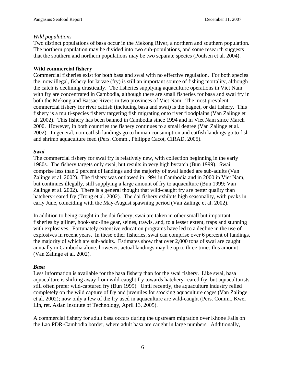#### *Wild populations*

Two distinct populations of basa occur in the Mekong River, a northern and southern population. The northern population may be divided into two sub-populations, and some research suggests that the southern and northern populations may be two separate species (Poulsen et al. 2004).

#### **Wild commercial fishery**

Commercial fisheries exist for both basa and swai with no effective regulation. For both species the, now illegal, fishery for larvae (fry) is still an important source of fishing mortality, although the catch is declining drastically. The fisheries supplying aquaculture operations in Viet Nam with fry are concentrated in Cambodia, although there are small fisheries for basa and swai fry in both the Mekong and Bassac Rivers in two provinces of Viet Nam. The most prevalent commercial fishery for river catfish (including basa and swai) is the bagnet, or dai fishery. This fishery is a multi-species fishery targeting fish migrating onto river floodplains (Van Zalinge et al. 2002). This fishery has been banned in Cambodia since 1994 and in Viet Nam since March 2000. However, in both countries the fishery continues to a small degree (Van Zalinge et al. 2002). In general, non-catfish landings go to human consumption and catfish landings go to fish and shrimp aquaculture feed (Pers. Comm., Philippe Cacot, CIRAD, 2005).

#### *Swai*

The commercial fishery for swai fry is relatively new, with collection beginning in the early 1980s. The fishery targets only swai, but results in very high bycatch (Bun 1999). Swai comprise less than 2 percent of landings and the majority of swai landed are sub-adults (Van Zalinge et al. 2002). The fishery was outlawed in 1994 in Cambodia and in 2000 in Viet Nam, but continues illegally, still supplying a large amount of fry to aquaculture (Bun 1999; Van Zalinge et al. 2002). There is a general thought that wild-caught fry are better quality than hatchery-reared fry (Trong et al. 2002). The dai fishery exhibits high seasonality, with peaks in early June, coinciding with the May-August spawning period (Van Zalinge et al. 2002).

In addition to being caught in the dai fishery, swai are taken in other small but important fisheries by gillnet, hook-and-line gear, seines, trawls, and, to a lesser extent, traps and stunning with explosives. Fortunately extensive education programs have led to a decline in the use of explosives in recent years. In these other fisheries, swai can comprise over 6 percent of landings, the majority of which are sub-adults. Estimates show that over 2,000 tons of swai are caught annually in Cambodia alone; however, actual landings may be up to three times this amount (Van Zalinge et al. 2002).

#### *Basa*

Less information is available for the basa fishery than for the swai fishery. Like swai, basa aquaculture is shifting away from wild-caught fry towards hatchery-reared fry, but aquaculturists still often prefer wild-captured fry (Bun 1999). Until recently, the aquaculture industry relied completely on the wild capture of fry and juveniles for stocking aquaculture cages (Van Zalinge et al. 2002); now only a few of the fry used in aquaculture are wild-caught (Pers. Comm., Kwei Lin, ret. Asian Institute of Technology, April 13, 2005).

A commercial fishery for adult basa occurs during the upstream migration over Khone Falls on the Lao PDR-Cambodia border, where adult basa are caught in large numbers. Additionally,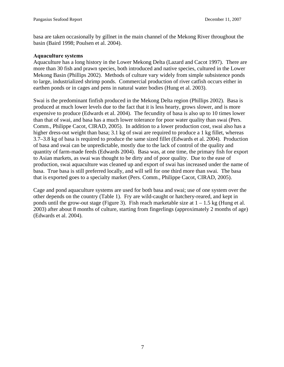basa are taken occasionally by gillnet in the main channel of the Mekong River throughout the basin (Baird 1998; Poulsen et al. 2004).

#### **Aquaculture systems**

Aquaculture has a long history in the Lower Mekong Delta (Lazard and Cacot 1997). There are more than 30 fish and prawn species, both introduced and native species, cultured in the Lower Mekong Basin (Phillips 2002). Methods of culture vary widely from simple subsistence ponds to large, industrialized shrimp ponds. Commercial production of river catfish occurs either in earthen ponds or in cages and pens in natural water bodies (Hung et al. 2003).

Swai is the predominant finfish produced in the Mekong Delta region (Phillips 2002). Basa is produced at much lower levels due to the fact that it is less hearty, grows slower, and is more expensive to produce (Edwards et al. 2004). The fecundity of basa is also up to 10 times lower than that of swai, and basa has a much lower tolerance for poor water quality than swai (Pers. Comm., Philippe Cacot, CIRAD, 2005). In addition to a lower production cost, swai also has a higher dress-out weight than basa; 3.1 kg of swai are required to produce a 1 kg fillet, whereas 3.7–3.8 kg of basa is required to produce the same sized fillet (Edwards et al. 2004). Production of basa and swai can be unpredictable, mostly due to the lack of control of the quality and quantity of farm-made feeds (Edwards 2004). Basa was, at one time, the primary fish for export to Asian markets, as swai was thought to be dirty and of poor quality. Due to the ease of production, swai aquaculture was cleaned up and export of swai has increased under the name of basa. True basa is still preferred locally, and will sell for one third more than swai. The basa that is exported goes to a specialty market (Pers. Comm., Philippe Cacot, CIRAD, 2005).

Cage and pond aquaculture systems are used for both basa and swai; use of one system over the other depends on the country (Table 1). Fry are wild-caught or hatchery-reared, and kept in ponds until the grow-out stage (Figure 3). Fish reach marketable size at  $1 - 1.5$  kg (Hung et al. 2003) after about 8 months of culture, starting from fingerlings (approximately 2 months of age) (Edwards et al. 2004).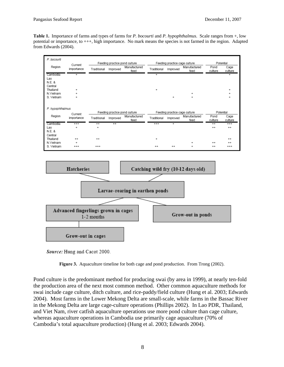**Table 1.** Importance of farms and types of farms for *P. bocourti* and *P. hypophthalmus*. Scale ranges from +, low potential or importance, to +++, high importance. No mark means the species is not farmed in the region. Adapted from Edwards (2004).



Source: Hung and Cacot 2000.



Pond culture is the predominant method for producing swai (by area in 1999), at nearly ten-fold the production area of the next most common method. Other common aquaculture methods for swai include cage culture, ditch culture, and rice-paddy/field culture (Hung et al. 2003; Edwards 2004). Most farms in the Lower Mekong Delta are small-scale, while farms in the Bassac River in the Mekong Delta are large cage-culture operations (Phillips 2002). In Lao PDR, Thailand, and Viet Nam, river catfish aquaculture operations use more pond culture than cage culture, whereas aquaculture operations in Cambodia use primarily cage aquaculture (70% of Cambodia's total aquaculture production) (Hung et al. 2003; Edwards 2004).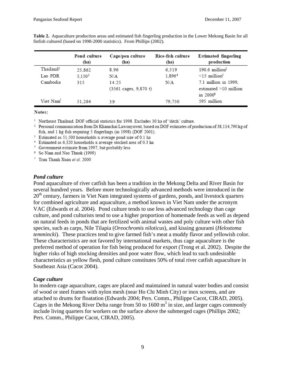|                       | Pond culture<br>(ha) | Cage/pen culture<br>(ha)                | Rice-fish culture<br>(ha) | Estimated fingerling<br>production                  |
|-----------------------|----------------------|-----------------------------------------|---------------------------|-----------------------------------------------------|
| Thailand <sup>1</sup> | 25,862               | 8.96                                    | 6,519                     | $190.6$ million <sup>2</sup>                        |
| Lao PDR               | 5.1503               | N/A                                     | 1,896 <sup>4</sup>        | $\leq$ 15 million <sup>5</sup>                      |
| Cambodia              | 315                  | 14.25                                   | N/A                       | 7.1 million in 1999,                                |
|                       |                      | $(3561 \text{ cages}, 9,870 \text{ t})$ |                           | $estimated \geq 10$ million<br>in 2000 <sup>6</sup> |
| Viet Nam <sup>7</sup> | 51.264               | 39                                      | 79.750                    | 595 million                                         |

**Table 2.** Aquaculture production areas and estimated fish fingerling production in the Lower Mekong Basin for all finfish cultured (based on 1998-2000 statistics). From Phillips (2002).

#### Notes:

<sup>1</sup> Northeast Thailand. DOF official statistics for 1998. Excludes 30 ha of 'ditch' culture.

<sup>2</sup> Personal communication from Dr Khamchai Lawonyawut, based on DOF estimates of production of 38,114,790 kg of fish, and 1 kg fish requiring 5 fingerlings (in 1998) (DOF 2001).

- <sup>3</sup> Estimated as 51,500 households x average pond size of 0.1 ha
- <sup>4</sup> Estimated as 6,320 households x average stocked area of 0.3 ha
- <sup>5</sup> Government estimate from 1997, but probably less
- <sup>6</sup> So Nam and Nao Thuok (1999)
- <sup>7</sup> Tran Thanh Xuan et al. 2000

#### *Pond culture*

Pond aquaculture of river catfish has been a tradition in the Mekong Delta and River Basin for several hundred years. Before more technologically advanced methods were introduced in the 20<sup>th</sup> century, farmers in Viet Nam integrated systems of gardens, ponds, and livestock quarters for combined agriculture and aquaculture, a method known in Viet Nam under the acronym VAC (Edwards et al. 2004). Pond culture tends to use less advanced technology than cage culture, and pond culturists tend to use a higher proportion of homemade feeds as well as depend on natural feeds in ponds that are fertilized with animal wastes and poly culture with other fish species, such as carps, Nile Tilapia (*Oreochromis niloticus*), and kissing gourami (*Helostoma temmincki*). These practices tend to give farmed fish's meat a muddy flavor and yellowish color. These characteristics are not favored by international markets, thus cage aquaculture is the preferred method of operation for fish being produced for export (Trong et al. 2002). Despite the higher risks of high stocking densities and poor water flow, which lead to such undesirable characteristics as yellow flesh, pond culture constitutes 50% of total river catfish aquaculture in Southeast Asia (Cacot 2004).

#### *Cage culture*

In modern cage aquaculture, cages are placed and maintained in natural water bodies and consist of wood or steel frames with nylon mesh (near Ho Chi Minh City) or inox screens, and are attached to drums for floatation (Edwards 2004; Pers. Comm., Philippe Cacot, CIRAD, 2005). Cages in the Mekong River Delta range from 50 to 1600  $m<sup>3</sup>$  in size, and larger cages commonly include living quarters for workers on the surface above the submerged cages (Phillips 2002; Pers. Comm., Philippe Cacot, CIRAD, 2005).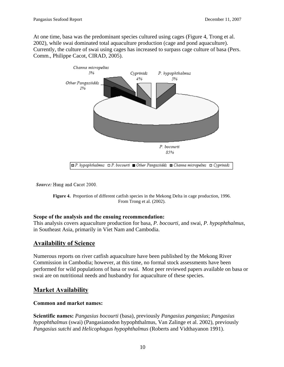At one time, basa was the predominant species cultured using cages (Figure 4, Trong et al. 2002), while swai dominated total aquaculture production (cage and pond aquaculture). Currently, the culture of swai using cages has increased to surpass cage culture of basa (Pers. Comm., Philippe Cacot, CIRAD, 2005).



Source: Hung and Cacot 2000.

**Figure 4.** Proportion of different catfish species in the Mekong Delta in cage production, 1996. From Trong et al. (2002).

#### **Scope of the analysis and the ensuing recommendation:**

This analysis covers aquaculture production for basa, *P. bocourti*, and swai, *P. hypophthalmus*, in Southeast Asia, primarily in Viet Nam and Cambodia.

# **Availability of Science**

Numerous reports on river catfish aquaculture have been published by the Mekong River Commission in Cambodia; however, at this time, no formal stock assessments have been performed for wild populations of basa or swai. Most peer reviewed papers available on basa or swai are on nutritional needs and husbandry for aquaculture of these species.

# **Market Availability**

#### **Common and market names:**

**Scientific names:** *Pangasius bocourti* (basa), previously *Pangasius pangasius*; *Pangasius hypophthalmus* (swai) (Pangasianodon hypophthalmus, Van Zalinge et al. 2002), previously *Pangasius sutchi* and *Helicophagus hypophthalmus* (Roberts and Vidthayanon 1991).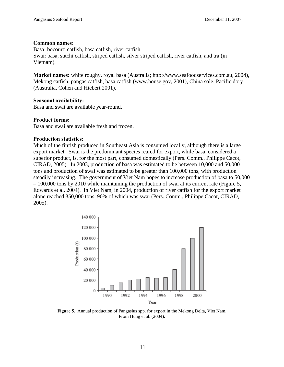#### **Common names:**

Basa: bocourti catfish, basa catfish, river catfish. Swai: basa, sutchi catfish, striped catfish, silver striped catfish, river catfish, and tra (in Vietnam).

**Market names:** white roughy, royal basa (Australia; http://www.seafoodservices.com.au, 2004), Mekong catfish, pangas catfish, basa catfish (www.house.gov, 2001), China sole, Pacific dory (Australia, Cohen and Hiebert 2001).

#### **Seasonal availability:**

Basa and swai are available year-round.

#### **Product forms:**

Basa and swai are available fresh and frozen.

#### **Production statistics:**

Much of the finfish produced in Southeast Asia is consumed locally, although there is a large export market. Swai is the predominant species reared for export, while basa, considered a superior product, is, for the most part, consumed domestically (Pers. Comm., Philippe Cacot, CIRAD, 2005). In 2003, production of basa was estimated to be between 10,000 and 50,000 tons and production of swai was estimated to be greater than 100,000 tons, with production steadily increasing. The government of Viet Nam hopes to increase production of basa to 50,000 – 100,000 tons by 2010 while maintaining the production of swai at its current rate (Figure 5, Edwards et al. 2004). In Viet Nam, in 2004, production of river catfish for the export market alone reached 350,000 tons, 90% of which was swai (Pers. Comm., Philippe Cacot, CIRAD, 2005).



**Figure 5.** Annual production of Pangasius spp. for export in the Mekong Delta, Viet Nam. From Hung et al. (2004).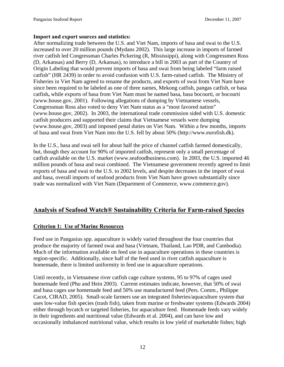#### **Import and export sources and statistics:**

After normalizing trade between the U.S. and Viet Nam, imports of basa and swai to the U.S. increased to over 20 million pounds (Mydans 2002). This large increase in imports of farmed river catfish led Congressman Charles Pickering (R, Mississippi), along with Congressmen Ross (D, Arkansas) and Berry (D, Arkansas), to introduce a bill in 2003 as part of the Country of Origin Labeling that would prevent imports of basa and swai from being labeled "farm raised catfish" (HR 2439) in order to avoid confusion with U.S. farm-raised catfish. The Ministry of Fisheries in Viet Nam agreed to rename the products, and exports of swai from Viet Nam have since been required to be labeled as one of three names, Mekong catfish, pangas catfish, or basa catfish**,** while exports of basa from Viet Nam must be named basa, basa bocourti, or bocourti (www.house.gov, 2001). Following allegations of dumping by Vietnamese vessels, Congressman Ross also voted to deny Viet Nam status as a "most favored nation" (www.house.gov, 2002). In 2003, the international trade commission sided with U.S. domestic catfish producers and supported their claims that Vietnamese vessels were dumping (www.house.gov, 2003) and imposed penal duties on Viet Nam. Within a few months, imports of basa and swai from Viet Nam into the U.S. fell by about 50% (http://www.eurofish.dk).

In the U.S., basa and swai sell for about half the price of channel catfish farmed domestically, but, though they account for 90% of imported catfish, represent only a small percentage of catfish available on the U.S. market (www.seafoodbusiness.com). In 2003, the U.S. imported 46 million pounds of basa and swai combined. The Vietnamese government recently agreed to limit exports of basa and swai to the U.S. to 2002 levels, and despite decreases in the import of swai and basa, overall imports of seafood products from Viet Nam have grown substantially since trade was normalized with Viet Nam (Department of Commerce, www.commerce.gov).

# **Analysis of Seafood Watch® Sustainability Criteria for Farm-raised Species**

#### **Criterion 1: Use of Marine Resources**

Feed use in Pangasius spp. aquaculture is widely varied throughout the four countries that produce the majority of farmed swai and basa (Vietnam, Thailand, Lao PDR, and Cambodia). Much of the information available on feed use in aquaculture operations in these countries is region-specific. Additionally, since half of the feed used in river catfish aquaculture is homemade, there is limited uniformity in feed use in aquaculture operations.

Until recently, in Vietnamese river catfish cage culture systems, 95 to 97% of cages used homemade feed (Phu and Hein 2003). Current estimates indicate, however, that 50% of swai and basa cages use homemade feed and 50% use manufactured feed (Pers. Comm., Philippe Cacot, CIRAD, 2005). Small-scale farmers use an integrated fisheries/aquaculture system that uses low-value fish species (trash fish), taken from marine or freshwater systems (Edwards 2004) either through bycatch or targeted fisheries, for aquaculture feed. Homemade feeds vary widely in their ingredients and nutritional value (Edwards et al. 2004), and can have low and occasionally imbalanced nutritional value, which results in low yield of marketable fishes; high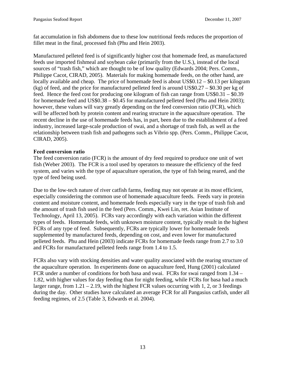fat accumulation in fish abdomens due to these low nutritional feeds reduces the proportion of fillet meat in the final, processed fish (Phu and Hein 2003).

Manufactured pelleted feed is of significantly higher cost that homemade feed, as manufactured feeds use imported fishmeal and soybean cake (primarily from the U.S.), instead of the local sources of "trash fish," which are thought to be of low quality (Edwards 2004; Pers. Comm., Philippe Cacot, CIRAD, 2005). Materials for making homemade feeds, on the other hand, are locally available and cheap. The price of homemade feed is about US\$0.12 – \$0.13 per kilogram (kg) of feed, and the price for manufactured pelleted feed is around US\$0.27 – \$0.30 per kg of feed. Hence the feed cost for producing one kilogram of fish can range from US\$0.31 – \$0.39 for homemade feed and US\$0.38 – \$0.45 for manufactured pelleted feed (Phu and Hein 2003); however, these values will vary greatly depending on the feed conversion ratio (FCR), which will be affected both by protein content and rearing structure in the aquaculture operation. The recent decline in the use of homemade feeds has, in part, been due to the establishment of a feed industry, increased large-scale production of swai, and a shortage of trash fish, as well as the relationship between trash fish and pathogens such as Vibrio spp. (Pers. Comm., Philippe Cacot, CIRAD, 2005).

## **Feed conversion ratio**

The feed conversion ratio (FCR) is the amount of dry feed required to produce one unit of wet fish (Weber 2003). The FCR is a tool used by operators to measure the efficiency of the feed system, and varies with the type of aquaculture operation, the type of fish being reared, and the type of feed being used.

Due to the low-tech nature of river catfish farms, feeding may not operate at its most efficient, especially considering the common use of homemade aquaculture feeds. Feeds vary in protein content and moisture content, and homemade feeds especially vary in the type of trash fish and the amount of trash fish used in the feed (Pers. Comm., Kwei Lin, ret. Asian Institute of Technology, April 13, 2005). FCRs vary accordingly with each variation within the different types of feeds. Homemade feeds, with unknown moisture content, typically result in the highest FCRs of any type of feed. Subsequently, FCRs are typically lower for homemade feeds supplemented by manufactured feeds, depending on cost, and even lower for manufactured pelleted feeds. Phu and Hein (2003) indicate FCRs for homemade feeds range from 2.7 to 3.0 and FCRs for manufactured pelleted feeds range from 1.4 to 1.5.

FCRs also vary with stocking densities and water quality associated with the rearing structure of the aquaculture operation. In experiments done on aquaculture feed, Hung (2001) calculated FCR under a number of conditions for both basa and swai. FCRs for swai ranged from 1.34 – 1.82, with higher values for day feeding than for night feeding, while FCRs for basa had a much larger range, from  $1.21 - 2.19$ , with the highest FCR values occurring with 1, 2, or 3 feedings during the day. Other studies have calculated an average FCR for all Pangasius catfish, under all feeding regimes, of 2.5 (Table 3, Edwards et al. 2004).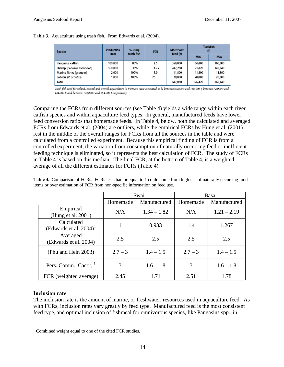|  |  |  |  | <b>Table 3.</b> Aquaculture using trash fish. From Edwards et al. (2004). |  |
|--|--|--|--|---------------------------------------------------------------------------|--|
|--|--|--|--|---------------------------------------------------------------------------|--|

| <b>Species</b>           | <b>Production</b><br>% using<br>trash fish<br>(mt) | <b>FCR</b> | Moist/wet | Trashfish<br>ω |         |         |
|--------------------------|----------------------------------------------------|------------|-----------|----------------|---------|---------|
|                          |                                                    |            |           | feed (t)       | Min     | Max     |
| Pangasius catfish        | 180.000                                            | 80%        | 2.5       | 360,000        | 64.800  | 180.000 |
| Shrimp (Penaeus monodon) | 160.000                                            | 38%        | 4.75      | 287,280        | 71,820  | 143.640 |
| Marine fishes (grouper)  | 2,000                                              | 100%       | 5.9       | 11,800         | 11,800  | 11.800  |
| Lobster (P. ornatus)     | 1.000                                              | 100%       | 28        | 28,000         | 28,000  | 28,000  |
| Total                    |                                                    |            |           | 687.080        | 176,420 | 363,440 |

Trash fish used for inland, coastal and overall aquaculture in Vietnam were estimated to be between 64,800 t and 180,000 t; between 72,000 t and 144,000 t; and between 177,000 t and 364,000 t, respectively.

Comparing the FCRs from different sources (see Table 4) yields a wide range within each river catfish species and within aquaculture feed types. In general, manufactured feeds have lower feed conversion ratios that homemade feeds. In Table 4, below, both the calculated and averaged FCRs from Edwards et al. (2004) are outliers, while the empirical FCRs by Hung et al. (2001) rest in the middle of the overall ranges for FCRs from all the sources in the table and were calculated from a controlled experiment. Because this empirical finding of FCR is from a controlled experiment, the variation from consumption of naturally occurring feed or inefficient feeding technique is eliminated, so it represents the best calculation of FCR. The study of FCRs in Table 4 is based on this median. The final FCR, at the bottom of Table 4, is a weighted average of all the different estimates for FCRs (Table 4).

|                                                     | Swai      |               | Basa      |               |  |
|-----------------------------------------------------|-----------|---------------|-----------|---------------|--|
|                                                     | Homemade  | Manufactured  | Homemade  | Manufactured  |  |
| Empirical<br>(Hung et al. 2001)                     | N/A       | $1.34 - 1.82$ | N/A       | $1.21 - 2.19$ |  |
| Calculated<br>(Edwards et al. $2004$ ) <sup>1</sup> |           | 0.933         | 1.4       | 1.267         |  |
| Averaged<br>(Edwards et al. 2004)                   | 2.5       | 2.5           | 2.5       | 2.5           |  |
| (Phu and Hein 2003)                                 | $2.7 - 3$ | $1.4 - 1.5$   | $2.7 - 3$ | $1.4 - 1.5$   |  |
| Pers. Comm., Cacot, <sup>1</sup>                    | 3         | $1.6 - 1.8$   | 3         | $1.6 - 1.8$   |  |
| FCR (weighted average)                              | 2.45      | 1.71          | 2.51      | 1.78          |  |

**Table 4.** Comparison of FCRs. FCRs less than or equal to 1 could come from high use of naturally occurring food items or over estimation of FCR from non-specific information on feed use.

#### **Inclusion rate**

 $\overline{a}$ 

The inclusion rate is the amount of marine, or freshwater, resources used in aquaculture feed. As with FCRs, inclusion rates vary greatly by feed type. Manufactured feed is the most consistent feed type, and optimal inclusion of fishmeal for omnivorous species, like Pangasius spp., in

 $1$  Combined weight equal to one of the cited FCR studies.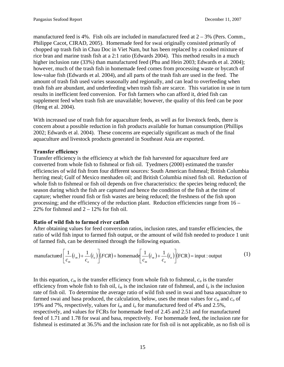manufactured feed is  $4\%$ . Fish oils are included in manufactured feed at  $2 - 3\%$  (Pers. Comm., Philippe Cacot, CIRAD, 2005). Homemade feed for swai originally consisted primarily of chopped up trash fish in Chau Doc in Viet Nam, but has been replaced by a cooked mixture of rice bran and marine trash fish at a 2:1 ratio (Edwards 2004). This method results in a much higher inclusion rate (33%) than manufactured feed (Phu and Hein 2003; Edwards et al. 2004); however, much of the trash fish in homemade feed comes from processing waste or bycatch of low-value fish (Edwards et al. 2004), and all parts of the trash fish are used in the feed. The amount of trash fish used varies seasonally and regionally, and can lead to overfeeding when trash fish are abundant, and underfeeding when trash fish are scarce. This variation in use in turn results in inefficient feed conversion. For fish farmers who can afford it, dried fish can supplement feed when trash fish are unavailable; however, the quality of this feed can be poor (Heng et al. 2004).

With increased use of trash fish for aquaculture feeds, as well as for livestock feeds, there is concern about a possible reduction in fish products available for human consumption (Phillips 2002; Edwards et al. 2004). These concerns are especially significant as much of the final aquaculture and livestock products generated in Southeast Asia are exported.

## **Transfer efficiency**

Transfer efficiency is the efficiency at which the fish harvested for aquaculture feed are converted from whole fish to fishmeal or fish oil. Tyedmers (2000) estimated the transfer efficiencies of wild fish from four different sources: South American fishmeal; British Columbia herring meal; Gulf of Mexico menhaden oil; and British Columbia mixed fish oil. Reduction of whole fish to fishmeal or fish oil depends on five characteristics: the species being reduced; the season during which the fish are captured and hence the condition of the fish at the time of capture; whether round fish or fish wastes are being reduced; the freshness of the fish upon processing; and the efficiency of the reduction plant. Reduction efficiencies range from 16 – 22% for fishmeal and  $2 - 12%$  for fish oil.

#### **Ratio of wild fish to farmed river catfish**

After obtaining values for feed conversion ratios, inclusion rates, and transfer efficiencies, the ratio of wild fish input to farmed fish output, or the amount of wild fish needed to produce 1 unit of farmed fish, can be determined through the following equation.

$$
\text{manufactured}\bigg[\frac{1}{c_m}(i_m) + \frac{1}{c_o}(i_o)\bigg](FCR) + \text{homemade}\bigg[\frac{1}{c_m}(i_m) + \frac{1}{c_o}(i_o)\bigg](FCR) = \text{input : output} \tag{1}
$$

In this equation,  $c_m$  is the transfer efficiency from whole fish to fishmeal,  $c_o$  is the transfer efficiency from whole fish to fish oil,  $i_m$  is the inclusion rate of fishmeal, and  $i_o$  is the inclusion rate of fish oil. To determine the average ratio of wild fish used in swai and basa aquaculture to farmed swai and basa produced, the calculation, below, uses the mean values for  $c_m$  and  $c_o$  of 19% and 7%, respectively, values for *im* and *io* for manufactured feed of 4% and 2.5%, respectively, and values for FCRs for homemade feed of 2.45 and 2.51 and for manufactured feed of 1.71 and 1.78 for swai and basa, respectively. For homemade feed, the inclusion rate for fishmeal is estimated at 36.5% and the inclusion rate for fish oil is not applicable, as no fish oil is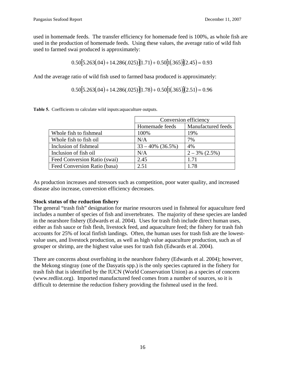used in homemade feeds. The transfer efficiency for homemade feed is 100%, as whole fish are used in the production of homemade feeds. Using these values, the average ratio of wild fish used to farmed swai produced is approximately:

$$
0.50[5.263(.04) + 14.286(.025)[(1.71) + 0.50[1(.365)](2.45) = 0.93
$$

And the average ratio of wild fish used to farmed basa produced is approximately:

$$
0.50[5.263(.04) + 14.286(.025)[(1.78) + 0.50[1(.365)](2.51) = 0.96
$$

|                              | Conversion efficiency |                    |  |
|------------------------------|-----------------------|--------------------|--|
|                              | Homemade feeds        | Manufactured feeds |  |
| Whole fish to fishmeal       | 100%                  | 19%                |  |
| Whole fish to fish oil       | N/A                   | 7%                 |  |
| Inclusion of fishmeal        | $33 - 40\%$ (36.5%)   | 4%                 |  |
| Inclusion of fish oil        | N/A                   | $2 - 3\%$ (2.5%)   |  |
| Feed Conversion Ratio (swai) | 2.45                  | 1.71               |  |
| Feed Conversion Ratio (basa) | 2.51                  | 1.78               |  |

**Table 5.** Coefficients to calculate wild inputs:aquaculture outputs.

As production increases and stressors such as competition, poor water quality, and increased disease also increase, conversion efficiency decreases.

#### **Stock status of the reduction fishery**

The general "trash fish" designation for marine resources used in fishmeal for aquaculture feed includes a number of species of fish and invertebrates. The majority of these species are landed in the nearshore fishery (Edwards et al. 2004). Uses for trash fish include direct human uses, either as fish sauce or fish flesh, livestock feed, and aquaculture feed; the fishery for trash fish accounts for 25% of local finfish landings. Often, the human uses for trash fish are the lowestvalue uses, and livestock production, as well as high value aquaculture production, such as of grouper or shrimp, are the highest value uses for trash fish (Edwards et al. 2004).

There are concerns about overfishing in the nearshore fishery (Edwards et al. 2004); however, the Mekong stingray (one of the Dasyatis spp.) is the only species captured in the fishery for trash fish that is identified by the IUCN (World Conservation Union) as a species of concern (www.redlist.org). Imported manufactured feed comes from a number of sources, so it is difficult to determine the reduction fishery providing the fishmeal used in the feed.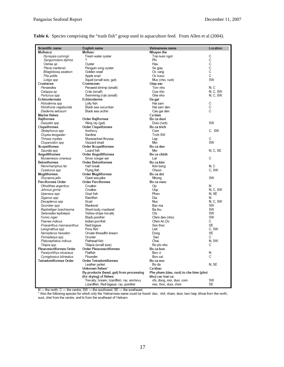| Scientific name                | English name                                | Vietnamese name                        | Location     |
|--------------------------------|---------------------------------------------|----------------------------------------|--------------|
| Mollusca                       | Mollusc                                     | Nhuyen the                             |              |
| Hyriopsis cumingii             | Fresh water oyster                          | Trai nuoc ngot                         | C            |
| Sanguinolaris diphos           |                                             | Phi                                    | С            |
| Ostrea sp                      | Oyster                                      | Hau                                    | C            |
| Pteria martensii               | Penguin wing oyster                         | So giay                                | $\mathbf C$  |
| Bilaglobosa swatson            | Golden snail                                | Oc vang                                | C            |
| Pila polita                    | Apple snail                                 | Oc buou                                | C            |
| Loligo spp                     | Squid (small size, gut)                     | Muc (nho, ruot)                        | SW           |
| Crustacea                      | Crustacean                                  | Giap xac                               |              |
| Penaeidea                      | Penaeid shrimp (small)                      | Tom nho                                | N.C          |
| Calappa sp                     | Crab (small)                                | Cua nho                                | N.C. SW      |
| Portunus spp                   | Swimming crab (small)                       | Ghe nho                                | N, C, SW     |
| Echinodermata                  | Echinoderms                                 | Da gai                                 |              |
| Holodeima spp                  | Lolly fish                                  | Hai sam                                | С            |
| Holothuria vagabunda           | Black sea cucumber                          | Hai sam den                            | C            |
| Diadema setosum                | Black sea urchin                            | Cau gai den                            | C            |
| <b>Marine fishes</b>           |                                             | Ca bien                                |              |
| Rajiformes                     | <b>Order Rajiformes</b>                     | Bo ca duoi                             |              |
| Dasyatis spp                   | Sting ray (gut)                             | Duoi (ruot)                            | SW           |
| Clupeiformes                   | Order Clupeiformes                          | Bo ca trich                            |              |
| Stolephorus spp                | Anchovy                                     | Com                                    | C. SW        |
| Clupea leiogaster              | Sardine                                     | Trich SW                               |              |
| Thrissa mystax                 | Moustached thryssa                          | Lep                                    | С            |
| Clupanodon spp                 | Gizzard shad                                | Moi                                    | SW           |
| Scopelifomes                   | <b>Order Scopeliformes</b>                  | Bo ca den                              |              |
| Saurida spp                    | Lizard fish                                 | Moi                                    | N. C. SE     |
| Anguilliformes                 | Order Anguilliformes                        | Bo ca chinh                            |              |
| Muraenesox cinereus            | Silver conger eel                           | Lat                                    | С            |
| <b>Beloniformes</b>            | <b>Order Beloniformes</b>                   | Bo ca kim                              |              |
| Hemirhamphus far               | Half break                                  | Kim bong<br>Chuon                      | N.C<br>C, SW |
| Cyselurus spp                  | Flying fish                                 |                                        |              |
| Mugiliformes<br>Shyraena jello | <b>Order Mugiliformes</b><br>Giant sea pike | Bo ca doi<br>Nhong                     | SW           |
| Perciformes Order              | <b>Order Perciformes</b>                    | Bo ca vuoc                             |              |
| Otholithes argentius           | Croaker                                     | Op                                     | N            |
| Johnius goma                   | Croaker                                     | Uop                                    | N.C. SW      |
| Upeneus spp                    | Goat fish                                   | Phen                                   | N, SE        |
| Siganus spp                    | Rabitfish                                   | Dia                                    | N            |
| Decapterus spp                 | Scad                                        | Nuc                                    | N, C, SW     |
| Scomber spp                    | Mackerel                                    | Bac ma                                 | SW           |
| Rastrelliger brachisoma        | Short-body mackerel                         | Ba thu                                 | SW           |
| Selaroides leptolepis          | Yellow-stripe trevally                      | Chi                                    | SW           |
| Fomio niger                    | Black pomfret                               | Chim den (nho)                         | SW           |
| Psenes indicus                 | Indian pomfret                              | Chim An Do                             | С            |
| Priacanthus macracanthus       | Red bigeve                                  | Son thoc                               | SE.          |
| Leiognathus spp                | Pony fish                                   | Liet                                   | C, SW        |
| Nemipterus hexodon             | Ornate threadfin bream                      | Dong                                   | <b>SE</b>    |
| Pomadasys spp                  | Grunter                                     | Sao                                    | С            |
| Platycephalus indicus          | Flathead fish                               | Chai                                   | N. SW        |
| Tilapia spp                    | Tilapia (small size)                        | Ro phi nho                             | С            |
| Pleuronectiformes Order        | <b>Order Pleuronectiformes</b>              | Bo ca bon                              |              |
| Paralychthys olivaceus         | Flatfish                                    | Bon vi                                 | Ν            |
| Cynoglossus bilineatus         | Flounder                                    | Bon cat                                | C            |
| <b>Tetradontiformes Order</b>  | <b>Order Tetradontiformes</b>               | Bo ca noc                              |              |
|                                | Leather jacket                              | Bo da                                  | N. SE        |
|                                | Unknown fishes*                             | Ca khac                                |              |
|                                | By-products (head, gut) from processing     | Phe pham (dau, ruot) tu che bien (phoi |              |
|                                | (for drying) of fishes:                     | kho) cac loai ca:                      |              |
|                                | Trevally, bream, lizardfish, ray, anchovy   | chi, dong, moi, duoi, com              | SW           |
|                                | Lizardfish, Red bigeye, ray, pomfret        | moi, thoc, duoi, chim                  | <b>SE</b>    |

#### **Table 6.** Species comprising the "trash fish" group used in aquaculture feed. From Allen et al (2004).

N — the north; C — the centre; SW — the southwest; SE — the southeast.<br>\* Also the following species for which only the Vietnamese name could be found: dao, nhit, nham, duoi, bem bep, khoai from the north;<br>suot, chet from t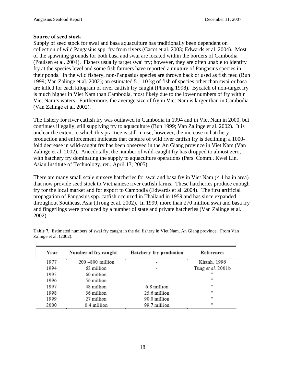#### **Source of seed stock**

Supply of seed stock for swai and basa aquaculture has traditionally been dependent on collection of wild Pangasius spp. fry from rivers (Cacot et al. 2003; Edwards et al. 2004). Most of the spawning grounds for both basa and swai are located within the borders of Cambodia (Poulsen et al. 2004). Fishers usually target swai fry; however, they are often unable to identify fry at the species level and some fish farmers have reported a mixture of Pangasius species in their ponds. In the wild fishery, non-Pangasius species are thrown back or used as fish feed (Bun 1999; Van Zalinge et al. 2002); an estimated 5 – 10 kg of fish of species other than swai or basa are killed for each kilogram of river catfish fry caught (Phuong 1998). Bycatch of non-target fry is much higher in Viet Nam than Cambodia, most likely due to the lower numbers of fry within Viet Nam's waters. Furthermore, the average size of fry in Viet Nam is larger than in Cambodia (Van Zalinge et al. 2002).

The fishery for river catfish fry was outlawed in Cambodia in 1994 and in Viet Nam in 2000, but continues illegally, still supplying fry to aquaculture (Bun 1999; Van Zalinge et al. 2002). It is unclear the extent to which this practice is still in use; however, the increase in hatchery production and enforcement indicates that capture of wild river catfish fry is declining; a 1000 fold decrease in wild-caught fry has been observed in the An Giang province in Viet Nam (Van Zalinge et al. 2002). Anecdotally, the number of wild-caught fry has dropped to almost zero, with hatchery fry dominating the supply to aquaculture operations (Pers. Comm., Kwei Lin, Asian Institute of Technology, ret., April 13, 2005).

There are many small scale nursery hatcheries for swai and basa fry in Viet Nam (< 1 ha in area) that now provide seed stock to Vietnamese river catfish farms. These hatcheries produce enough fry for the local market and for export to Cambodia (Edwards et al. 2004). The first artificial propagation of Pangasius spp. catfish occurred in Thailand in 1959 and has since expanded throughout Southeast Asia (Trong et al. 2002). In 1999, more than 270 million swai and basa fry and fingerlings were produced by a number of state and private hatcheries (Van Zalinge et al. 2002).

| Year | Number of fry caught | Hatchery fry production | References        |
|------|----------------------|-------------------------|-------------------|
| 1977 | 200 -800 million     |                         | Khanh, 1996       |
| 1994 | 62 million           |                         | Tung et al. 2001b |
| 1995 | 60 million           |                         | Ħ                 |
| 1996 | 56 million           |                         | m                 |
| 1997 | 48 million           | 6.8 million             | w                 |
| 1998 | 36 million           | 25.6 million            | w                 |
| 1999 | 27 million           | 90.0 million            | Ħ                 |
| 2000 | 0.4 million          | 99.7 million            | Ħ                 |

**Table 7.** Estimated numbers of swai fry caught in the dai fishery in Viet Nam, An Giang province. From Van Zalinge et al. (2002).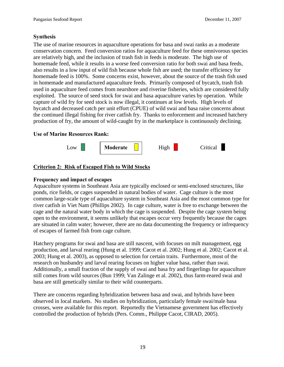## **Synthesis**

The use of marine resources in aquaculture operations for basa and swai ranks as a moderate conservation concern. Feed conversion ratios for aquaculture feed for these omnivorous species are relatively high, and the inclusion of trash fish in feeds is moderate. The high use of homemade feed, while it results in a worse feed conversion ratio for both swai and basa feeds, also results in a low input of wild fish because whole fish are used; the transfer efficiency for homemade feed is 100%. Some concerns exist, however, about the source of the trash fish used in homemade and manufactured aquaculture feeds. Primarily composed of bycatch, trash fish used in aquaculture feed comes from nearshore and riverine fisheries, which are considered fully exploited. The source of seed stock for swai and basa aquaculture varies by operation. While capture of wild fry for seed stock is now illegal, it continues at low levels. High levels of bycatch and decreased catch per unit effort (CPUE) of wild swai and basa raise concerns about the continued illegal fishing for river catfish fry. Thanks to enforcement and increased hatchery production of fry, the amount of wild-caught fry in the marketplace is continuously declining.

## **Use of Marine Resources Rank:**



## **Criterion 2: Risk of Escaped Fish to Wild Stocks**

## **Frequency and impact of escapes**

Aquaculture systems in Southeast Asia are typically enclosed or semi-enclosed structures, like ponds, rice fields, or cages suspended in natural bodies of water. Cage culture is the most common large-scale type of aquaculture system in Southeast Asia and the most common type for river catfish in Viet Nam (Phillips 2002). In cage culture, water is free to exchange between the cage and the natural water body in which the cage is suspended. Despite the cage system being open to the environment, it seems unlikely that escapes occur very frequently because the cages are situated in calm water; however, there are no data documenting the frequency or infrequency of escapes of farmed fish from cage culture.

Hatchery programs for swai and basa are still nascent, with focuses on milt management, egg production, and larval rearing (Hung et al. 1999; Cacot et al. 2002; Hung et al. 2002; Cacot et al. 2003; Hung et al. 2003), as opposed to selection for certain traits. Furthermore, most of the research on husbandry and larval rearing focuses on higher value basa, rather than swai. Additionally, a small fraction of the supply of swai and basa fry and fingerlings for aquaculture still comes from wild sources (Bun 1999; Van Zalinge et al. 2002), thus farm-reared swai and basa are still genetically similar to their wild counterparts.

There are concerns regarding hybridization between basa and swai, and hybrids have been observed in local markets. No studies on hybridization, particularly female swai/male basa crosses, were available for this report. Reportedly the Vietnamese government has effectively controlled the production of hybrids (Pers. Comm., Philippe Cacot, CIRAD, 2005).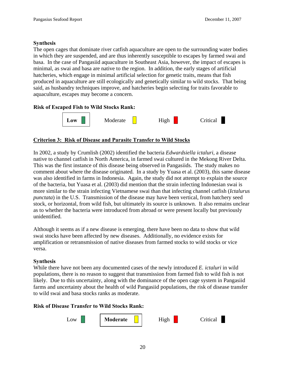#### **Synthesis**

The open cages that dominate river catfish aquaculture are open to the surrounding water bodies in which they are suspended, and are thus inherently susceptible to escapes by farmed swai and basa. In the case of Pangasiid aquaculture in Southeast Asia, however, the impact of escapes is minimal, as swai and basa are native to the region. In addition, the early stages of artificial hatcheries, which engage in minimal artificial selection for genetic traits, means that fish produced in aquaculture are still ecologically and genetically similar to wild stocks. That being said, as husbandry techniques improve, and hatcheries begin selecting for traits favorable to aquaculture, escapes may become a concern.

## **Risk of Escaped Fish to Wild Stocks Rank:**



## **Criterion 3: Risk of Disease and Parasite Transfer to Wild Stocks**

In 2002, a study by Crumlish (2002) identified the bacteria *Edwardsiella ictaluri*, a disease native to channel catfish in North America, in farmed swai cultured in the Mekong River Delta. This was the first instance of this disease being observed in Pangasiids. The study makes no comment about where the disease originated. In a study by Yuasa et al. (2003), this same disease was also identified in farms in Indonesia. Again, the study did not attempt to explain the source of the bacteria, but Yuasa et al. (2003) did mention that the strain infecting Indonesian swai is more similar to the strain infecting Vietnamese swai than that infecting channel catfish (*Ictalurus punctata*) in the U.S. Transmission of the disease may have been vertical, from hatchery seed stock, or horizontal, from wild fish, but ultimately its source is unknown. It also remains unclear as to whether the bacteria were introduced from abroad or were present locally but previously unidentified.

Although it seems as if a new disease is emerging, there have been no data to show that wild swai stocks have been affected by new diseases. Additionally, no evidence exists for amplification or retransmission of native diseases from farmed stocks to wild stocks or vice versa.

#### **Synthesis**

While there have not been any documented cases of the newly introduced *E. ictaluri* in wild populations, there is no reason to suggest that transmission from farmed fish to wild fish is not likely. Due to this uncertainty, along with the dominance of the open cage system in Pangasiid farms and uncertainty about the health of wild Pangasiid populations, the risk of disease transfer to wild swai and basa stocks ranks as moderate.

#### **Risk of Disease Transfer to Wild Stocks Rank:**

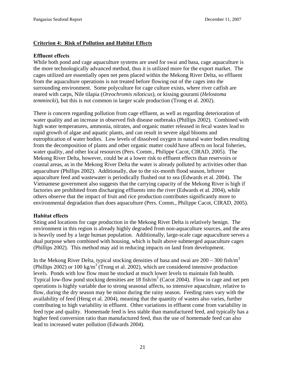## **Criterion 4: Risk of Pollution and Habitat Effects**

#### **Effluent effects**

While both pond and cage aquaculture systems are used for swai and basa, cage aquaculture is the more technologically advanced method, thus it is utilized more for the export market. The cages utilized are essentially open net pens placed within the Mekong River Delta, so effluent from the aquaculture operations is not treated before flowing out of the cages into the surrounding environment. Some polyculture for cage culture exists, where river catfish are reared with carps, Nile tilapia (*Oreochromis niloticus*), or kissing gourami (*Helostoma temmincki*), but this is not common in larger scale production (Trong et al. 2002).

There is concern regarding pollution from cage effluent, as well as regarding deterioration of water quality and an increase in observed fish disease outbreaks (Phillips 2002). Combined with high water temperatures, ammonia, nitrates, and organic matter released in fecal wastes lead to rapid growth of algae and aquatic plants, and can result in severe algal blooms and eutrophication of water bodies. Low levels of dissolved oxygen in natural water bodies resulting from the decomposition of plants and other organic matter could have affects on local fisheries, water quality, and other local resources (Pers. Comm., Philippe Cacot, CIRAD, 2005). The Mekong River Delta, however, could be at a lower risk to effluent effects than reservoirs or coastal areas, as in the Mekong River Delta the water is already polluted by activities other than aquaculture (Phillips 2002). Additionally, due to the six-month flood season, leftover aquaculture feed and wastewater is periodically flushed out to sea (Edwards et al. 2004). The Vietnamese government also suggests that the carrying capacity of the Mekong River is high if factories are prohibited from discharging effluents into the river (Edwards et al. 2004), while others observe that the impact of fruit and rice production contributes significantly more to environmental degradation than does aquaculture (Pers. Comm., Philippe Cacot, CIRAD, 2005).

## **Habitat effects**

Siting and locations for cage production in the Mekong River Delta is relatively benign. The environment in this region is already highly degraded from non-aquaculture sources, and the area is heavily used by a large human population. Additionally, large-scale cage aquaculture serves a dual purpose when combined with housing, which is built above submerged aquaculture cages (Phillips 2002). This method may aid in reducing impacts on land from development.

In the Mekong River Delta, typical stocking densities of basa and swai are  $200 - 300$  fish/m<sup>3</sup> (Phillips 2002) or 100 kg/m<sup>3</sup> (Trong et al. 2002), which are considered intensive production levels. Ponds with low flow must be stocked at much lower levels to maintain fish health. Typical low-flow pond stocking densities are 18 fish/ $m<sup>3</sup>$  (Cacot 2004). Flow in cage and net pen operations is highly variable due to strong seasonal affects, so intensive aquaculture, relative to flow, during the dry season may be minor during the rainy season. Feeding rates vary with the availability of feed (Heng et al. 2004), meaning that the quantity of wastes also varies, further contributing to high variability in effluent. Other variations in effluent come from variability in feed type and quality. Homemade feed is less stable than manufactured feed, and typically has a higher feed conversion ratio than manufactured feed, thus the use of homemade feed can also lead to increased water pollution (Edwards 2004).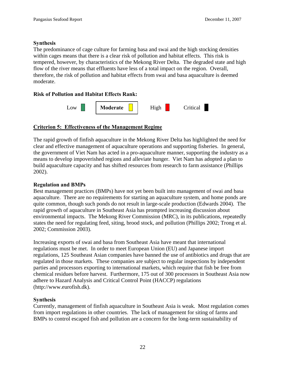#### **Synthesis**

The predominance of cage culture for farming basa and swai and the high stocking densities within cages means that there is a clear risk of pollution and habitat effects. This risk is tempered, however, by characteristics of the Mekong River Delta. The degraded state and high flow of the river means that effluents have less of a total impact on the region. Overall, therefore, the risk of pollution and habitat effects from swai and basa aquaculture is deemed moderate.

## **Risk of Pollution and Habitat Effects Rank:**



## **Criterion 5: Effectiveness of the Management Regime**

The rapid growth of finfish aquaculture in the Mekong River Delta has highlighted the need for clear and effective management of aquaculture operations and supporting fisheries. In general, the government of Viet Nam has acted in a pro-aquaculture manner, supporting the industry as a means to develop impoverished regions and alleviate hunger. Viet Nam has adopted a plan to build aquaculture capacity and has shifted resources from research to farm assistance (Phillips 2002).

#### **Regulation and BMPs**

Best management practices (BMPs) have not yet been built into management of swai and basa aquaculture. There are no requirements for starting an aquaculture system, and home ponds are quite common, though such ponds do not result in large-scale production (Edwards 2004). The rapid growth of aquaculture in Southeast Asia has prompted increasing discussion about environmental impacts. The Mekong River Commission (MRC), in its publications, repeatedly states the need for regulating feed, siting, brood stock, and pollution (Phillips 2002; Trong et al. 2002; Commission 2003).

Increasing exports of swai and basa from Southeast Asia have meant that international regulations must be met. In order to meet European Union (EU) and Japanese import regulations, 125 Southeast Asian companies have banned the use of antibiotics and drugs that are regulated in those markets. These companies are subject to regular inspections by independent parties and processors exporting to international markets, which require that fish be free from chemical residues before harvest. Furthermore, 175 out of 300 processors in Southeast Asia now adhere to Hazard Analysis and Critical Control Point (HACCP) regulations (http://www.eurofish.dk).

#### **Synthesis**

Currently, management of finfish aquaculture in Southeast Asia is weak. Most regulation comes from import regulations in other countries. The lack of management for siting of farms and BMPs to control escaped fish and pollution are a concern for the long-term sustainability of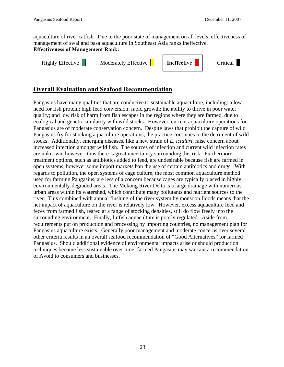aquaculture of river catfish. Due to the poor state of management on all levels, effectiveness of management of swai and basa aquaculture in Southeast Asia ranks ineffective. **Effectiveness of Management Rank:** 

Highly Effective Moderately Effective **I Ineffective C**ritical



# **Overall Evaluation and Seafood Recommendation**

Pangasius have many qualities that are conducive to sustainable aquaculture, including: a low need for fish protein; high feed conversion; rapid growth; the ability to thrive in poor water quality; and low risk of harm from fish escapes in the regions where they are farmed, due to ecological and genetic similarity with wild stocks. However, current aquaculture operations for Pangasius are of moderate conservation concern. Despite laws that prohibit the capture of wild Pangasius fry for stocking aquaculture operations, the practice continues to the detriment of wild stocks. Additionally, emerging diseases, like a new strain of *E. ictaluri*, raise concern about increased infection amongst wild fish. The sources of infection and current wild infection rates are unknown, however, thus there is great uncertainty surrounding this risk. Furthermore, treatment options, such as antibiotics added to feed, are undesirable because fish are farmed in open systems, however some import markets ban the use of certain antibiotics and drugs. With regards to pollution, the open systems of cage culture, the most common aquaculture method used for farming Pangasius, are less of a concern because cages are typically placed in highly environmentally-degraded areas. The Mekong River Delta is a large drainage with numerous urban areas within its watershed, which contribute many pollutants and nutrient sources to the river. This combined with annual flushing of the river system by monsoon floods means that the net impact of aquaculture on the river is relatively low. However, excess aquaculture feed and feces from farmed fish, reared at a range of stocking densities, still do flow freely into the surrounding environment. Finally, finfish aquaculture is poorly regulated. Aside from requirements put on production and processing by importing countries, no management plan for Pangasius aquaculture exists. Generally poor management and moderate concerns over several other criteria results in an overall seafood recommendation of "Good Alternatives" for farmed Pangasius. Should additional evidence of environmental impacts arise or should production techniques become less sustainable over time, farmed Pangasius may warrant a recommendation of Avoid to consumers and businesses.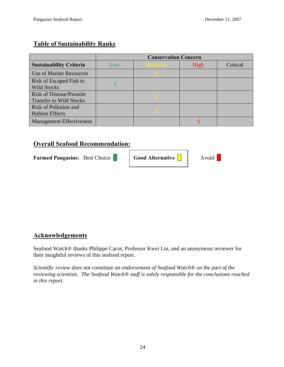# **Table of Sustainability Ranks**

|                                                                   | <b>Conservation Concern</b> |                 |      |          |
|-------------------------------------------------------------------|-----------------------------|-----------------|------|----------|
| <b>Sustainability Criteria</b>                                    | Low                         | <b>Moderate</b> | High | Critical |
| <b>Use of Marine Resources</b>                                    |                             |                 |      |          |
| Risk of Escaped Fish to<br><b>Wild Stocks</b>                     |                             |                 |      |          |
| <b>Risk of Disease/Parasite</b><br><b>Transfer to Wild Stocks</b> |                             |                 |      |          |
| Risk of Pollution and<br><b>Habitat Effects</b>                   |                             |                 |      |          |
| <b>Management Effectiveness</b>                                   |                             |                 |      |          |

# **Overall Seafood Recommendation:**

**Farmed Pangasius:** Best Choice **Good Alternative CALC** Avoid

# **Acknowledgements**

Seafood Watch® thanks Philippe Cacot, Professor Kwei Lin, and an anonymous reviewer for their insightful reviews of this seafood report.

*Scientific review does not constitute an endorsement of Seafood Watch® on the part of the reviewing scientists. The Seafood Watch® staff is solely responsible for the conclusions reached in this report.*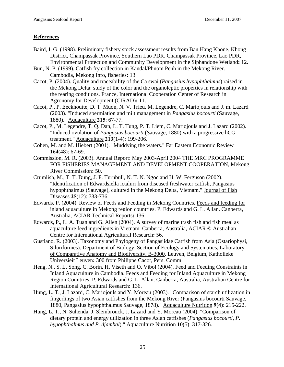## **References**

- Baird, I. G. (1998). Preliminary fishery stock assessment results from Ban Hang Khone, Khong District, Champassak Province, Southern Lao PDR. Champassak Province, Lao PDR, Environmental Protection and Community Development in the Siphandone Wetland**:** 12.
- Bun, N. P. (1999). Catfish fry collection in Kandal/Phnom Penh in the Mekong River. Cambodia, Mekong Info, fisheries**:** 13.
- Cacot, P. (2004). Quality and traceability of the Ca swai (*Pangasius hypophthalmus*) raised in the Mekong Delta: study of the color and the organoleptic properties in relationship with the rearing conditions. France, International Cooperation Center of Research in Agronomy for Development (CIRAD)**:** 11.
- Cacot, P., P. Eeckhoutte, D. T. Muon, N. V. Trieu, M. Legendre, C. Mariojouls and J. m. Lazard (2003). "Induced spermiation and milt management in *Pangasius bocourti* (Sauvage, 1880)." Aquaculture **215**: 67-77.
- Cacot, P., M. Legendre, T. Q. Dan, L. T. Tung, P. T. Liem, C. Mariojouls and J. Lazard (2002). "Induced ovulation of *Pangasius bocourti* (Sauvage, 1880) with a progressive hCG treatment." Aquaculture **213**(1-4): 199-206.
- Cohen, M. and M. Hiebert (2001). "Muddying the waters." Far Eastern Economic Review **164**(48): 67-69.
- Commission, M. R. (2003). Annual Report: May 2003-April 2004 THE MRC PROGRAMME FOR FISHERIES MANAGEMENT AND DEVELOPMENT COOPERATION, Mekong River Commission**:** 50.
- Crumlish, M., T. T. Dung, J. F. Turnbull, N. T. N. Ngoc and H. W. Ferguson (2002). "Identification of Edwardsiella ictaluri from diseased freshwater catfish, Pangasius hypophthalmus (Sauvage), cultured in the Mekong Delta, Vietnam." Journal of Fish Diseases **25**(12): 733-736.
- Edwards, P. (2004). Review of Feeds and Feeding in Mekong Countries. Feeds and feeding for inland aquaculture in Mekong region countries. P. Edwards and G. L. Allan. Canberra, Australia, ACIAR Technical Reports**:** 136.
- Edwards, P., L. A. Tuan and G. Allen (2004). A survey of marine trash fish and fish meal as aquaculture feed ingredients in Vietnam. Canberra, Australia, ACIAR © Australian Centre for International Agricultural Research**:** 56.
- Gustiano, R. (2003). Taxonomy and Phylogeny of Pangasiidae Catfish from Asia (Ostariophysi, Siluriformes). Department of Biology, Section of Ecology and Systematics, Laboratory of Comparative Anatomy and Biodiversity, B-3000. Leuven, Belgium, Katholieke Universieit Leuven**:** 300 from Philippe Cacot, Pers. Comm.
- Heng, N., S. L. Song, C. Borin, H. Viseth and O. Vibol (2004). Feed and Feeding Constraints in Inland Aquaculture in Cambodia. Feeds and Feeding for Inland Aquaculture in Mekong Region Countries. P. Edwards and G. L. Allan. Canberra, Australia, Australian Centre for International Agricultural Research**:** 136.
- Hung, L. T., J. Lazard, C. Mariojouls and Y. Moreau (2003). "Comparison of starch utilization in fingerlings of two Asian catfishes from the Mekong River (Pangasius bocourti Sauvage, 1880, Pangasius hypophthalmus Sauvage, 1878)." Aquaculture Nutrition **9**(4): 215-222.
- Hung, L. T., N. Suhenda, J. Slembrouck, J. Lazard and Y. Moreau (2004). "Comparison of dietary protein and energy utilization in three Asian catfishes (*Pangasius bocourti, P. hypophthalmus and P. djambal*)." Aquaculture Nutrition **10**(5): 317-326.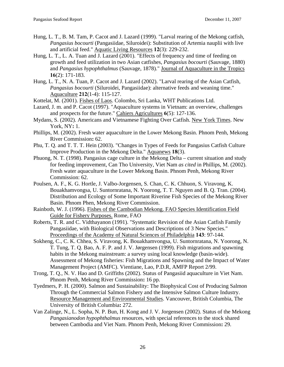- Hung, L. T., B. M. Tam, P. Cacot and J. Lazard (1999). "Larval rearing of the Mekong catfish, *Pangasius bocourti* (Pangasiidae, Siluroidei): Substitution of Artemia nauplii with live and artificial feed." Aquatic Living Resources **12**(3): 229-232.
- Hung, L. T., L. A. Tuan and J. Lazard (2001). "Effects of frequency and time of feeding on growth and feed utilization in two Asian catfishes, *Pangasius bocourti* (Sauvage, 1880) and *Pangasius hypophthalmus* (Sauvage, 1878)." Journal of Aquaculture in the Tropics **16**(2): 171-183.
- Hung, L. T., N. A. Tuan, P. Cacot and J. Lazard (2002). "Larval rearing of the Asian Catfish, *Pangasius bocourti* (Siluroidei, Pangasiidae): alternative feeds and weaning time." Aquaculture **212**(1-4): 115-127.
- Kottelat, M. (2001). Fishes of Laos. Colombo, Sri Lanka, WHT Publications Ltd.
- Lazard, J. m. and P. Cacot (1997). "Aquaculture systems in Vietnam: an overview, challenges and prospects for the future." Cahiers Agricultures **6**(5): 127-136.
- Mydans, S. (2002). Americans and Vietnamese Fighting Over Catfish. New York Times. New York, NY**:** 1.
- Phillips, M. (2002). Fresh water aquaculture in the Lower Mekong Basin. Phnom Penh, Mekong River Commission**:** 62.
- Phu, T. Q. and T. T. T. Hein (2003). "Changes in Types of Feeds for Pangasius Catfish Culture Improve Production in the Mekong Delta." Aquanews **18**(3).
- Phuong, N. T. (1998). Pangasius cage culture in the Mekong Delta current situation and study for feeding improvement, Can Tho University, Viet Nam *as cited* in Phillips, M. (2002). Fresh water aquaculture in the Lower Mekong Basin. Phnom Penh, Mekong River Commission: 62.
- Poulsen, A. F., K. G. Hortle, J. Valbo-Jorgensen, S. Chan, C. K. Chhuon, S. Viravong, K. Bouakhamvongsa, U. Suntornratana, N. Yoorong, T. T. Nguyen and B. Q. Tran. (2004). Distribution and Ecology of Some Important Riverine Fish Species of the Mekong River Basin. Phnom Phen, Mekong River Commission.
- Rainboth, W. J. (1996). Fishes of the Cambodian Mekong. FAO Species Identification Field Guide for Fishery Purposes. Rome, FAO
- Roberts, T. R. and C. Vidthayanon (1991). "Systematic Revision of the Asian Catfish Family Pangasiidae, with Biological Observations and Descriptions of 3 New Species." Proceedings of the Academy of Natural Sciences of Philadelphia **143**: 97-144.
- Sokheng, C., C. K. Chhea, S. Viravong, K. Bouakhamvongsa, U. Suntornratana, N. Yoorong, N. T. Tung, T. Q. Bao, A. F. P. and J. V. Jørgensen (1999). Fish migrations and spawning habits in the Mekong mainstream: a survey using local knowledge (basin-wide). Assessment of Mekong fisheries: Fish Migrations and Spawning and the Impact of Water Management Project (AMFC). Vientiane, Lao, P.D.R, AMFP Report 2/99.
- Trong, T. Q., N. V. Hao and D. Griffiths (2002). Status of Pangasiid aquaculture in Viet Nam. Phnom Penh, Mekong River Commission**:** 16 pp.
- Tyedmers, P. H. (2000). Salmon and Sustainability: The Biophysical Cost of Producing Salmon Through the Commercial Salmon Fishery and the Intensive Salmon Culture Industry. Resource Management and Environmental Studies. Vancouver, British Columbia, The University of British Columbia**:** 272.
- Van Zalinge, N., L. Sopha, N. P. Bun, H. Kong and J. V. Jorgensen (2002). Status of the Mekong *Pangasianodon hypophthalmus* resources, with special references to the stock shared between Cambodia and Viet Nam. Phnom Penh, Mekong River Commission**:** 29.